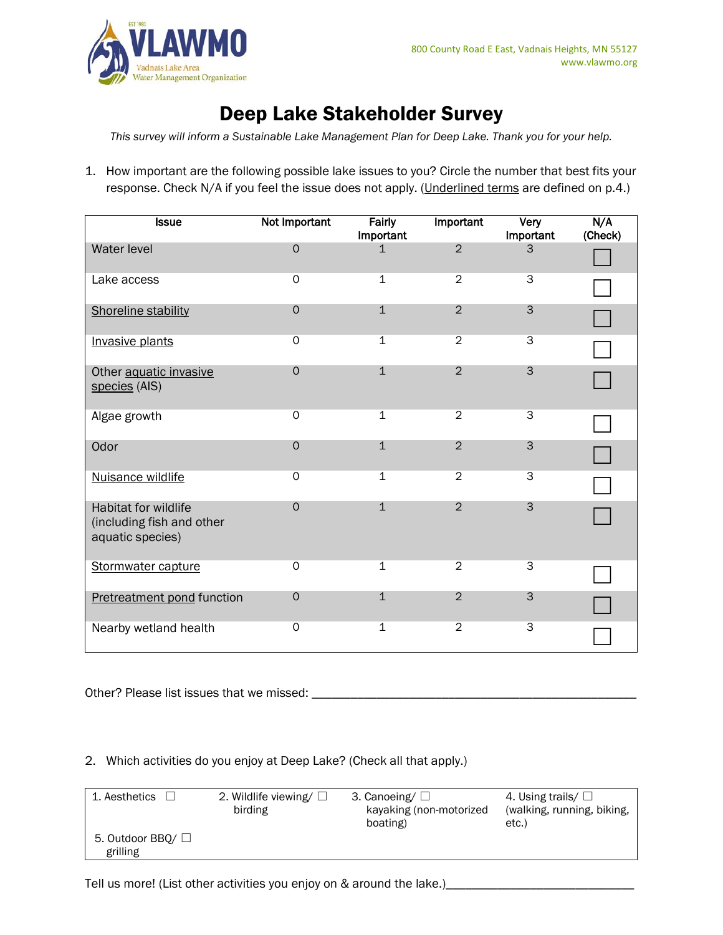

# Deep Lake Stakeholder Survey

*This survey will inform a Sustainable Lake Management Plan for Deep Lake. Thank you for your help.* 

1. How important are the following possible lake issues to you? Circle the number that best fits your response. Check N/A if you feel the issue does not apply. (Underlined terms are defined on p.4.)

| <b>Issue</b>                                                                 | Not Important  | Fairly<br>Important | Important      | Very<br>Important | N/A<br>(Check) |
|------------------------------------------------------------------------------|----------------|---------------------|----------------|-------------------|----------------|
| <b>Water level</b>                                                           | $\overline{0}$ | $\mathbf{1}$        | $\overline{2}$ | 3                 |                |
| Lake access                                                                  | $\Omega$       | $\mathbf 1$         | $\overline{2}$ | $\overline{3}$    |                |
| Shoreline stability                                                          | $\Omega$       | $\mathbf{1}$        | $\overline{2}$ | 3                 |                |
| Invasive plants                                                              | 0              | 1                   | $\overline{2}$ | $\overline{3}$    |                |
| Other aquatic invasive<br>species (AIS)                                      | $\Omega$       | $\mathbf{1}$        | $\overline{2}$ | 3                 |                |
| Algae growth                                                                 | $\overline{0}$ | $\mathbf 1$         | $\overline{2}$ | $\overline{3}$    |                |
| Odor                                                                         | $\mathbf 0$    | $\mathbf{1}$        | $\overline{2}$ | 3                 |                |
| Nuisance wildlife                                                            | $\Omega$       | $\overline{1}$      | $\overline{2}$ | $\overline{3}$    |                |
| <b>Habitat for wildlife</b><br>(including fish and other<br>aquatic species) | $\Omega$       | $\mathbf{1}$        | $\overline{2}$ | 3                 |                |
| Stormwater capture                                                           | $\overline{0}$ | $\mathbf{1}$        | $\overline{2}$ | $\overline{3}$    |                |
| Pretreatment pond function                                                   | $\mathbf 0$    | $\mathbf{1}$        | $\overline{2}$ | 3                 |                |
| Nearby wetland health                                                        | 0              | 1                   | $\overline{2}$ | $\overline{3}$    |                |

Other? Please list issues that we missed: \_\_\_\_\_\_\_\_\_\_\_\_\_\_\_\_\_\_\_\_\_\_\_\_\_\_\_\_\_\_\_\_\_\_\_\_\_\_\_\_\_\_\_\_\_\_\_\_\_\_

## 2. Which activities do you enjoy at Deep Lake? (Check all that apply.)

| 1. Aesthetics                      | 2. Wildlife viewing/ $\square$<br>birding | 3. Canoeing/ $\Box$<br>kayaking (non-motorized<br>boating) | 4. Using trails/ $\Box$<br>(walking, running, biking,<br>etc.) |
|------------------------------------|-------------------------------------------|------------------------------------------------------------|----------------------------------------------------------------|
| 5. Outdoor BBQ/ $\Box$<br>grilling |                                           |                                                            |                                                                |

Tell us more! (List other activities you enjoy on & around the lake.)\_\_\_\_\_\_\_\_\_\_\_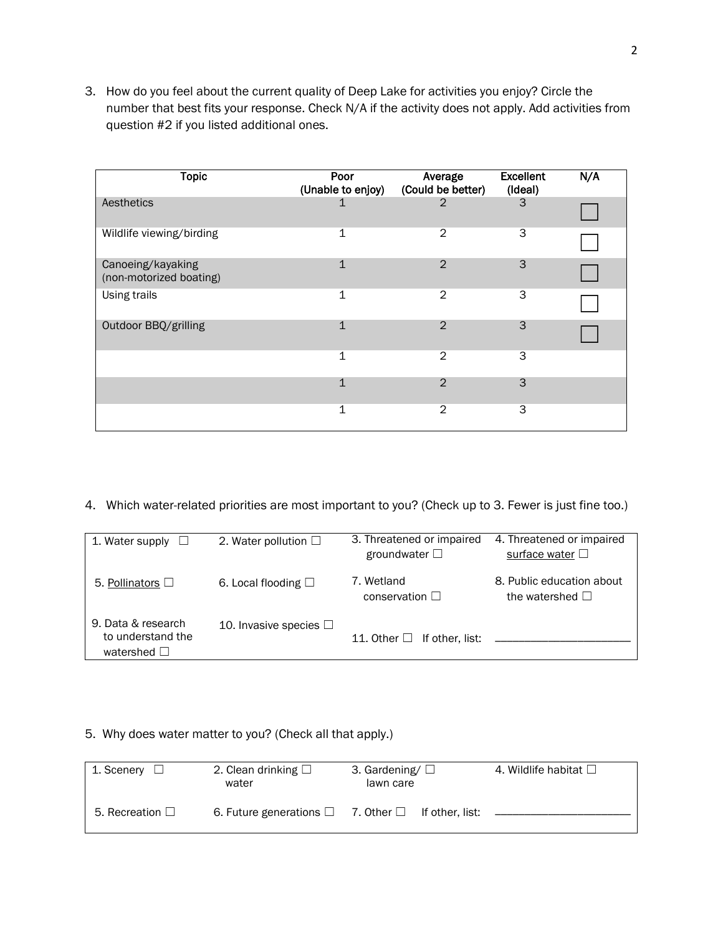3. How do you feel about the current quality of Deep Lake for activities you enjoy? Circle the number that best fits your response. Check N/A if the activity does not apply. Add activities from question #2 if you listed additional ones.

| <b>Topic</b>                                 | Poor<br>(Unable to enjoy) | Average<br>(Could be better) | <b>Excellent</b><br>(Ideal) | N/A |
|----------------------------------------------|---------------------------|------------------------------|-----------------------------|-----|
| Aesthetics                                   | 1                         | 2                            | 3                           |     |
| Wildlife viewing/birding                     | 1                         | $\overline{2}$               | 3                           |     |
| Canoeing/kayaking<br>(non-motorized boating) | $\mathbf{1}$              | 2                            | 3                           |     |
| Using trails                                 | $\mathbf 1$               | $\mathfrak{D}$               | 3                           |     |
| Outdoor BBQ/grilling                         | $\mathbf{1}$              | $\overline{2}$               | 3                           |     |
|                                              | 1                         | $\overline{2}$               | 3                           |     |
|                                              | $\mathbf{1}$              | $\mathfrak{D}$               | 3                           |     |
|                                              | 1                         | $\overline{2}$               | 3                           |     |

4. Which water-related priorities are most important to you? (Check up to 3. Fewer is just fine too.)

| 1. Water supply                                                | 2. Water pollution $\Box$   | 3. Threatened or impaired<br>groundwater $\square$ | 4. Threatened or impaired<br>surface water $\Box$ |
|----------------------------------------------------------------|-----------------------------|----------------------------------------------------|---------------------------------------------------|
| 5. Pollinators $\Box$                                          | 6. Local flooding $\square$ | 7. Wetland<br>conservation $\square$               | 8. Public education about<br>the watershed $\Box$ |
| 9. Data & research<br>to understand the<br>watershed $\square$ | 10. Invasive species $\Box$ | If other, list:<br>11. Other $\Box$                |                                                   |

## 5. Why does water matter to you? (Check all that apply.)

| 1. Scenery              | 2. Clean drinking $\square$<br>water | 3. Gardening/ $\square$<br>lawn care | 4. Wildlife habitat $\square$ |
|-------------------------|--------------------------------------|--------------------------------------|-------------------------------|
| 5. Recreation $\square$ | 6. Future generations $\square$      | 7. Other $\Box$ If other, list:      |                               |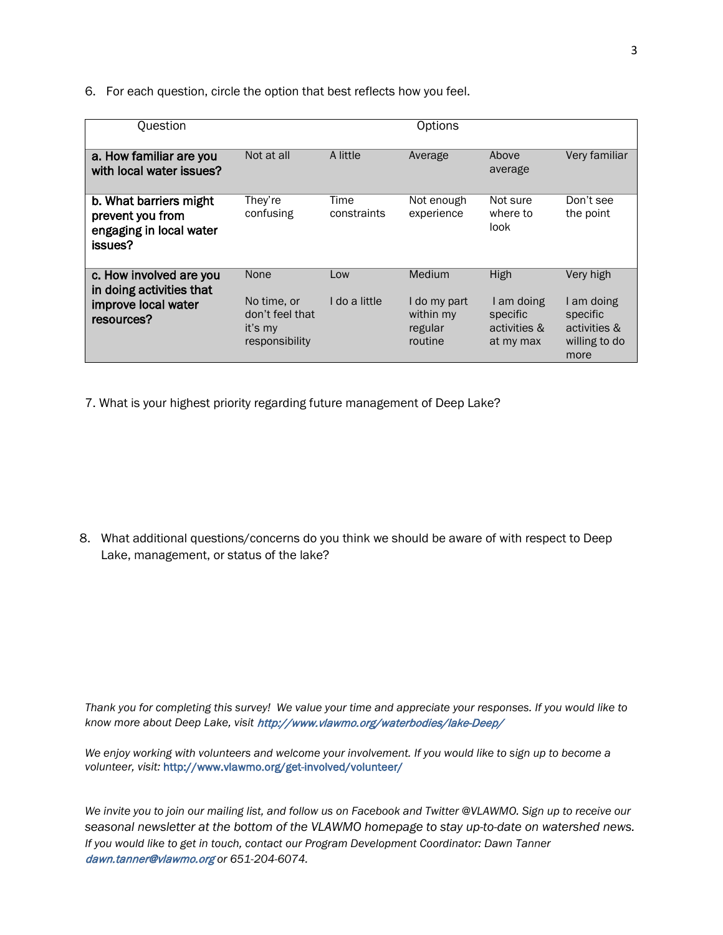6. For each question, circle the option that best reflects how you feel.

| Question                                                                                 | Options                                                             |                      |                                                           |                                                             |                                                                              |
|------------------------------------------------------------------------------------------|---------------------------------------------------------------------|----------------------|-----------------------------------------------------------|-------------------------------------------------------------|------------------------------------------------------------------------------|
| a. How familiar are you<br>with local water issues?                                      | Not at all                                                          | A little             | Average                                                   | Above<br>average                                            | Very familiar                                                                |
| b. What barriers might<br>prevent you from<br>engaging in local water<br>issues?         | They're<br>confusing                                                | Time<br>constraints  | Not enough<br>experience                                  | Not sure<br>where to<br>look                                | Don't see<br>the point                                                       |
| c. How involved are you<br>in doing activities that<br>improve local water<br>resources? | None<br>No time. or<br>don't feel that<br>it's my<br>responsibility | Low<br>I do a little | Medium<br>I do my part<br>within my<br>regular<br>routine | High<br>I am doing<br>specific<br>activities &<br>at my max | Very high<br>I am doing<br>specific<br>activities &<br>willing to do<br>more |

7. What is your highest priority regarding future management of Deep Lake?

8. What additional questions/concerns do you think we should be aware of with respect to Deep Lake, management, or status of the lake?

*Thank you for completing this survey! We value your time and appreciate your responses. If you would like to know more about Deep Lake, visit* http://www.vlawmo.org/waterbodies/lake-Deep/

*We enjoy working with volunteers and welcome your involvement. If you would like to sign up to become a volunteer, visit:* <http://www.vlawmo.org/get-involved/volunteer/>

*We invite you to join our mailing list, and follow us on Facebook and Twitter @VLAWMO. Sign up to receive our seasonal newsletter at the bottom of the VLAWMO homepage to stay up-to-date on watershed news. If you would like to get in touch, contact our Program Development Coordinator: Dawn Tanner*  [dawn.tanner@vlawmo.org](mailto:dawn.tanner@vlawmo.org) *or 651-204-6074.*